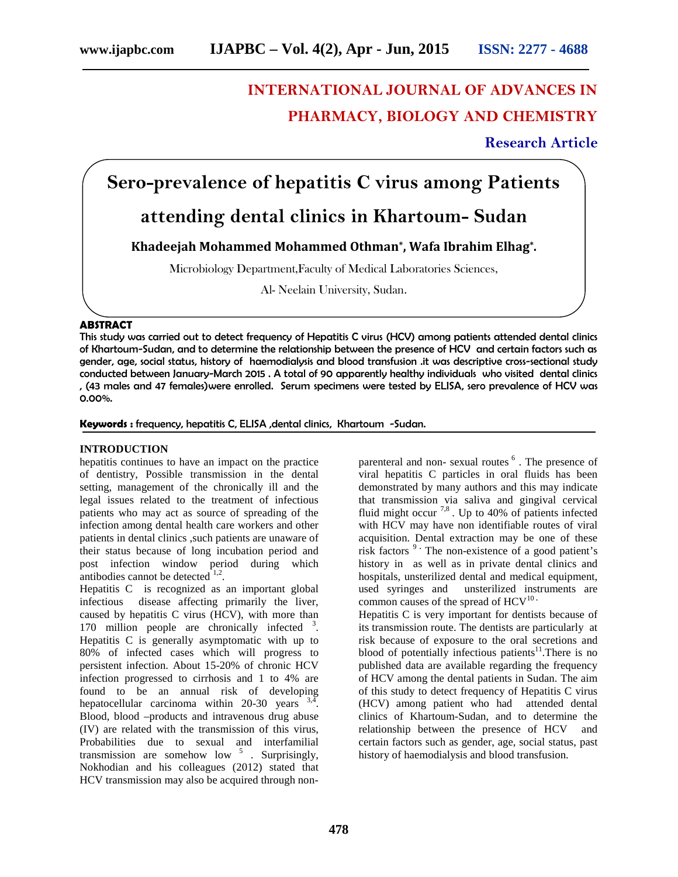# **INTERNATIONAL JOURNAL OF ADVANCES IN PHARMACY, BIOLOGY AND CHEMISTRY**

**Research Article**

**Sero-prevalence of hepatitis C virus among Patients**

# **attending dental clinics in Khartoum- Sudan**

**Khadeejah Mohammed Mohammed Othman\* , Wafa Ibrahim Elhag\* .**

Microbiology Department,Faculty of Medical Laboratories Sciences,

Al- Neelain University, Sudan.

## **ABSTRACT**

This study was carried out to detect frequency of Hepatitis C virus (HCV) among patients attended dental clinics of Khartoum-Sudan, and to determine the relationship between the presence of HCV and certain factors such as gender, age, social status, history of haemodialysis and blood transfusion .it was descriptive cross-sectional study conducted between January-March 2015 . A total of 90 apparently healthy individuals who visited dental clinics , (43 males and 47 females)were enrolled. Serum specimens were tested by ELISA, sero prevalence of HCV was 0.00%.

**Keywords :** frequency, hepatitis C, ELISA ,dental clinics, Khartoum -Sudan.

## **INTRODUCTION**

hepatitis continues to have an impact on the practice of dentistry, Possible transmission in the dental setting, management of the chronically ill and the legal issues related to the treatment of infectious patients who may act as source of spreading of the infection among dental health care workers and other patients in dental clinics ,such patients are unaware of their status because of long incubation period and post infection window period during which antibodies cannot be detected  $1,2$ .

Hepatitis C is recognized as an important global infectious disease affecting primarily the liver, caused by hepatitis C virus (HCV), with more than 170 million people are chronically infected <sup>3</sup>. Hepatitis C is generally asymptomatic with up to 80% of infected cases which will progress to persistent infection. About 15-20% of chronic HCV infection progressed to cirrhosis and 1 to 4% are found to be an annual risk of developing hepatocellular carcinoma within  $20-30$  years  $3,\overline{4}$ . Blood, blood –products and intravenous drug abuse (IV) are related with the transmission of this virus, Probabilities due to sexual and interfamilial transmission are somehow low  $5$ . Surprisingly, Nokhodian and his colleagues (2012) stated that HCV transmission may also be acquired through non-

parenteral and non-sexual routes <sup>6</sup>. The presence of viral hepatitis C particles in oral fluids has been demonstrated by many authors and this may indicate that transmission via saliva and gingival cervical fluid might occur<sup>7,8</sup>. Up to 40% of patients infected with HCV may have non identifiable routes of viral acquisition. Dental extraction may be one of these risk factors <sup>9</sup> The non-existence of a good patient's history in as well as in private dental clinics and hospitals, unsterilized dental and medical equipment, used syringes and unsterilized instruments are common causes of the spread of HCV<sup>10</sup> ·

Hepatitis C is very important for dentists because of its transmission route. The dentists are particularly at risk because of exposure to the oral secretions and blood of potentially infectious patients<sup>11</sup>. There is no published data are available regarding the frequency of HCV among the dental patients in Sudan. The aim of this study to detect frequency of Hepatitis C virus (HCV) among patient who had attended dental clinics of Khartoum-Sudan, and to determine the relationship between the presence of HCV and certain factors such as gender, age, social status, past history of haemodialysis and blood transfusion.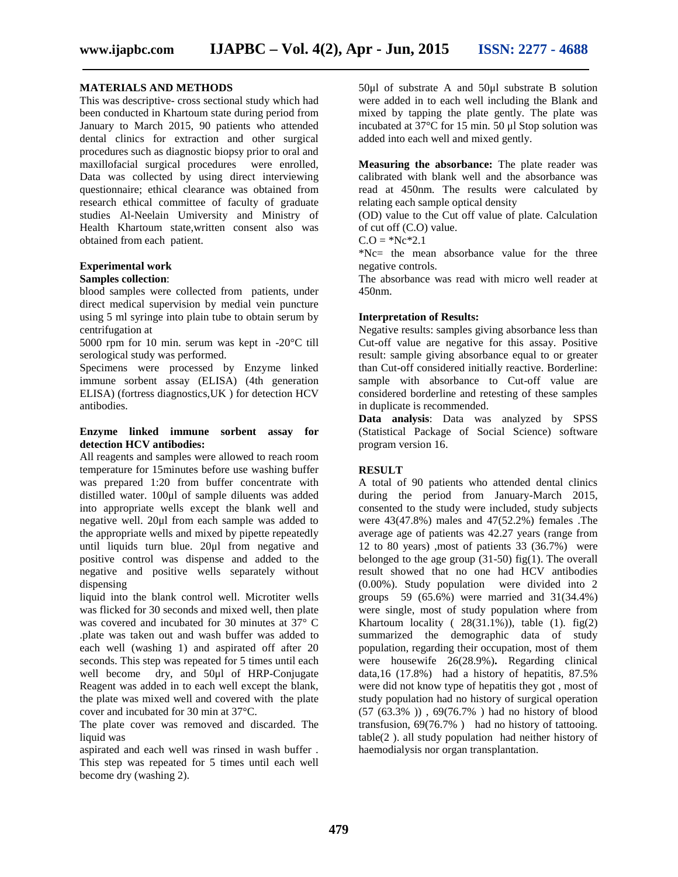#### **MATERIALS AND METHODS**

This was descriptive- cross sectional study which had been conducted in Khartoum state during period from January to March 2015, 90 patients who attended dental clinics for extraction and other surgical procedures such as diagnostic biopsy prior to oral and maxillofacial surgical procedures were enrolled, Data was collected by using direct interviewing questionnaire; ethical clearance was obtained from research ethical committee of faculty of graduate studies Al-Neelain Umiversity and Ministry of Health Khartoum state,written consent also was obtained from each patient.

#### **Experimental work**

#### **Samples collection**:

blood samples were collected from patients, under direct medical supervision by medial vein puncture using 5 ml syringe into plain tube to obtain serum by centrifugation at

5000 rpm for 10 min. serum was kept in -20°C till serological study was performed.

Specimens were processed by Enzyme linked immune sorbent assay (ELISA) (4th generation ELISA) (fortress diagnostics,UK ) for detection HCV antibodies.

#### **Enzyme linked immune sorbent assay for detection HCV antibodies:**

All reagents and samples were allowed to reach room temperature for 15minutes before use washing buffer was prepared 1:20 from buffer concentrate with distilled water. 100μl of sample diluents was added into appropriate wells except the blank well and negative well. 20μl from each sample was added to the appropriate wells and mixed by pipette repeatedly until liquids turn blue. 20μl from negative and positive control was dispense and added to the negative and positive wells separately without dispensing

liquid into the blank control well. Microtiter wells was flicked for 30 seconds and mixed well, then plate was covered and incubated for 30 minutes at 37° C .plate was taken out and wash buffer was added to each well (washing 1) and aspirated off after 20 seconds. This step was repeated for 5 times until each well become dry, and 50μl of HRP-Conjugate Reagent was added in to each well except the blank, the plate was mixed well and covered with the plate cover and incubated for 30 min at 37°C.

The plate cover was removed and discarded. The liquid was

aspirated and each well was rinsed in wash buffer . This step was repeated for 5 times until each well become dry (washing 2).

50μl of substrate A and 50μl substrate B solution were added in to each well including the Blank and mixed by tapping the plate gently. The plate was incubated at 37°C for 15 min. 50 μl Stop solution was added into each well and mixed gently.

**Measuring the absorbance:** The plate reader was calibrated with blank well and the absorbance was read at 450nm. The results were calculated by relating each sample optical density

(OD) value to the Cut off value of plate. Calculation of cut off (C.O) value.

 $C.O = *Nc * 2.1$ 

\*Nc= the mean absorbance value for the three negative controls.

The absorbance was read with micro well reader at 450nm.

#### **Interpretation of Results:**

Negative results: samples giving absorbance less than Cut-off value are negative for this assay. Positive result: sample giving absorbance equal to or greater than Cut-off considered initially reactive. Borderline: sample with absorbance to Cut-off value are considered borderline and retesting of these samples in duplicate is recommended.

**Data analysis**: Data was analyzed by SPSS (Statistical Package of Social Science) software program version 16.

## **RESULT**

A total of 90 patients who attended dental clinics during the period from January-March 2015, consented to the study were included, study subjects were 43(47.8%) males and 47(52.2%) females .The average age of patients was 42.27 years (range from 12 to 80 years) ,most of patients 33 (36.7%) were belonged to the age group  $(31-50)$  fig $(1)$ . The overall result showed that no one had HCV antibodies (0.00%). Study population were divided into 2 groups 59 (65.6%) were married and 31(34.4%) were single, most of study population where from Khartoum locality (  $28(31.1\%)$ ), table (1). fig(2) summarized the demographic data of study population, regarding their occupation, most of them were housewife 26(28.9%)**.** Regarding clinical data,16 (17.8%) had a history of hepatitis, 87.5% were did not know type of hepatitis they got , most of study population had no history of surgical operation (57 (63.3% )) , 69(76.7% ) had no history of blood transfusion, 69(76.7% ) had no history of tattooing. table(2 ). all study population had neither history of haemodialysis nor organ transplantation.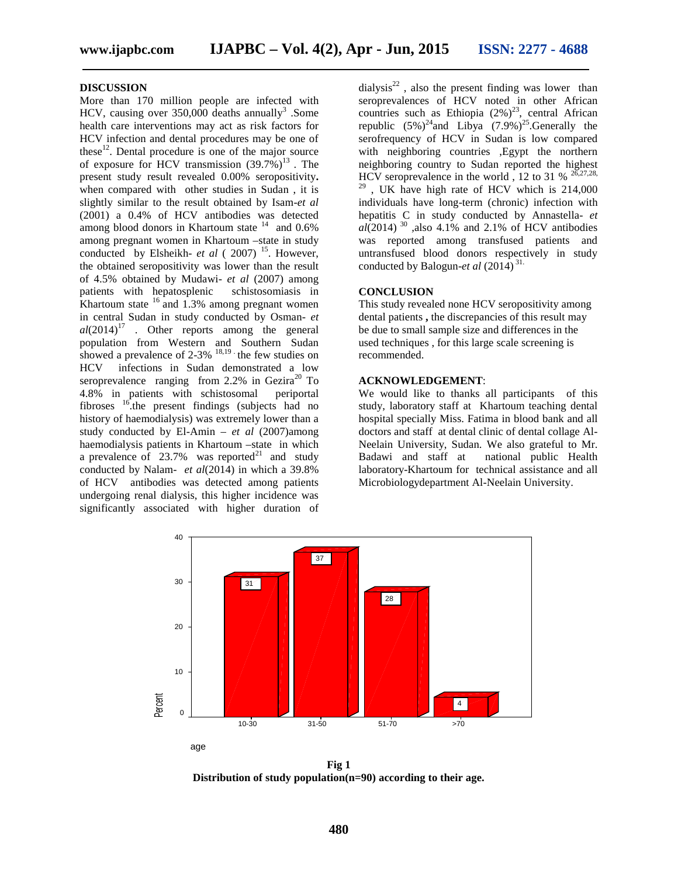#### **DISCUSSION**

More than 170 million people are infected with HCV, causing over  $350,000$  deaths annually<sup>3</sup>. Some health care interventions may act as risk factors for HCV infection and dental procedures may be one of these $^{12}$ . Dental procedure is one of the major source of exposure for HCV transmission  $(39.7\%)^{13}$ . The present study result revealed 0.00% seropositivity**.** when compared with other studies in Sudan , it is slightly similar to the result obtained by Isam-*et al* (2001) a 0.4% of HCV antibodies was detected among blood donors in Khartoum state  $14$  and 0.6% among pregnant women in Khartoum –state in study conducted by Elsheikh- *et al* (2007)<sup>15</sup>. However, the obtained seropositivity was lower than the result of 4.5% obtained by Mudawi- *et al* (2007) among patients with hepatosplenic schistosomiasis in Khartoum state  $16$  and 1.3% among pregnant women in central Sudan in study conducted by Osman- *et*  $al(2014)^{17}$  . Other reports among the general population from Western and Southern Sudan showed a prevalence of  $2-3\%$  <sup>18,19</sup> the few studies on HCV infections in Sudan demonstrated a low seroprevalence ranging from  $2.2\%$  in Gezira<sup>20</sup> To 4.8% in patients with schistosomal periportal fibroses <sup>16</sup>, the present findings (subjects had no history of haemodialysis) was extremely lower than a study conducted by El-Amin – *et al* (2007)among haemodialysis patients in Khartoum –state in which a prevalence of  $23.7\%$  was reported<sup>21</sup> and study Badawi and staff at conducted by Nalam- *et al*(2014) in which a 39.8% of HCV antibodies was detected among patients undergoing renal dialysis, this higher incidence was significantly associated with higher duration of

dialysis<sup>22</sup>, also the present finding was lower than seroprevalences of HCV noted in other African countries such as Ethiopia  $(2\%)^{23}$ , central African republic  $(5\%)^{24}$  and Libya  $(7.9\%)^{25}$ . Generally the serofrequency of HCV in Sudan is low compared with neighboring countries , Egypt the northern neighboring country to Sudan reported the highest HCV seroprevalence in the world, 12 to 31 %  $^{26,27,28}$ ,  $29$ , UK have high rate of HCV which is 214,000 individuals have long-term (chronic) infection with hepatitis C in study conducted by Annastella- *et*  $a\overline{l}$ (2014)<sup>30</sup>, also 4.1% and 2.1% of HCV antibodies was reported among transfused patients and untransfused blood donors respectively in study conducted by Balogun-*et al* (2014) 31.

#### **CONCLUSION**

This study revealed none HCV seropositivity among dental patients **,** the discrepancies of this result may be due to small sample size and differences in the used techniques , for this large scale screening is recommended.

#### **ACKNOWLEDGEMENT**:

We would like to thanks all participants of this study, laboratory staff at Khartoum teaching dental hospital specially Miss. Fatima in blood bank and all doctors and staff at dental clinic of dental collage Al- Neelain University, Sudan. We also grateful to Mr. national public Health laboratory-Khartoum for technical assistance and all Microbiologydepartment Al-Neelain University.



**Fig 1 Distribution of study population(n=90) according to their age.**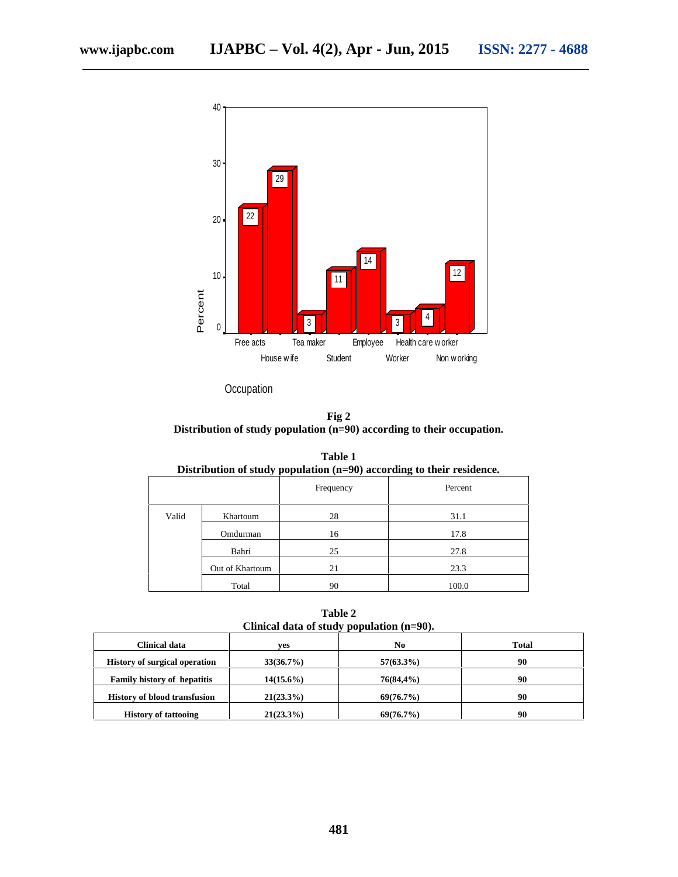

**Occupation** 

**Fig 2 Distribution of study population (n=90) according to their occupation.**

| Distribution of study population $(n=90)$ according to their residence. |                 |           |         |  |  |
|-------------------------------------------------------------------------|-----------------|-----------|---------|--|--|
|                                                                         |                 | Frequency | Percent |  |  |
| Valid                                                                   | Khartoum        | 28        | 31.1    |  |  |
|                                                                         | Omdurman        | 16        | 17.8    |  |  |
|                                                                         | Bahri           | 25        | 27.8    |  |  |
|                                                                         | Out of Khartoum | 21        | 23.3    |  |  |
|                                                                         | Total           | 90        | 100.0   |  |  |

**Table 1**<br> $(6, 00)$ **Distribution of study population (n=90) according to their residence.**

**Table 2 Clinical data of study population (n=90).**

| Clinical data                        | ves          | No           | <b>Total</b> |  |
|--------------------------------------|--------------|--------------|--------------|--|
| <b>History of surgical operation</b> | 33(36.7%)    | $57(63.3\%)$ | 90           |  |
| <b>Family history of hepatitis</b>   | $14(15.6\%)$ | 76(84,4%)    | 90           |  |
| <b>History of blood transfusion</b>  | $21(23.3\%)$ | 69(76.7%)    | 90           |  |
| <b>History of tattooing</b>          | $21(23.3\%)$ | 69(76.7%)    | 90           |  |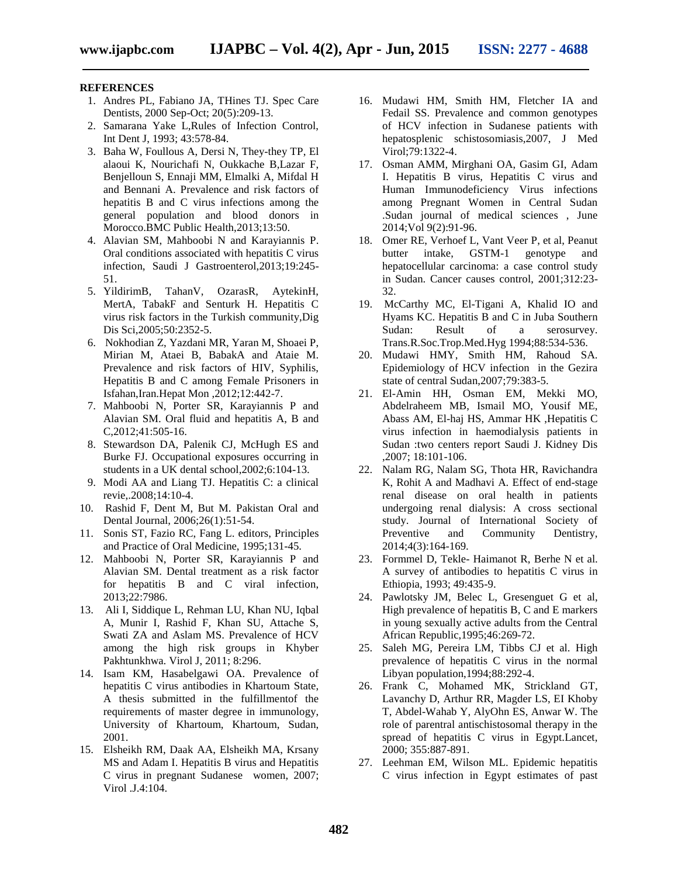#### **REFERENCES**

- 1. Andres PL, Fabiano JA, THines TJ. Spec Care Dentists, 2000 Sep-Oct; 20(5):209-13.
- 2. Samarana Yake L,Rules of Infection Control, Int Dent J, 1993; 43:578-84.
- 3. Baha W, Foullous A, Dersi N, They-they TP, El alaoui K, Nourichafi N, Oukkache B,Lazar F, Benjelloun S, Ennaji MM, Elmalki A, Mifdal H and Bennani A. Prevalence and risk factors of hepatitis B and C virus infections among the general population and blood donors in Morocco.BMC Public Health,2013;13:50.
- 4. Alavian SM, Mahboobi N and Karayiannis P. Oral conditions associated with hepatitis C virus infection, Saudi J Gastroenterol,2013;19:245- 51.
- 5. YildirimB, TahanV, OzarasR, AytekinH, MertA, TabakF and Senturk H. Hepatitis C virus risk factors in the Turkish community,Dig Dis Sci,2005;50:2352-5.
- 6. Nokhodian Z, Yazdani MR, Yaran M, Shoaei P, Mirian M, Ataei B, BabakA and Ataie M. Prevalence and risk factors of HIV, Syphilis, Hepatitis B and C among Female Prisoners in Isfahan,Iran.Hepat Mon ,2012;12:442-7.
- 7. Mahboobi N, Porter SR, Karayiannis P and Alavian SM. Oral fluid and hepatitis A, B and C,2012;41:505-16.
- 8. Stewardson DA, Palenik CJ, McHugh ES and Burke FJ. Occupational exposures occurring in students in a UK dental school,2002;6:104-13.
- 9. Modi AA and Liang TJ. Hepatitis C: a clinical revie,.2008;14:10-4.
- 10. Rashid F, Dent M, But M. Pakistan Oral and Dental Journal, 2006;26(1):51-54.
- 11. Sonis ST, Fazio RC, Fang L. editors, Principles and Practice of Oral Medicine, 1995;131-45.
- 12. Mahboobi N, Porter SR, Karayiannis P and Alavian SM. Dental treatment as a risk factor for hepatitis B and C viral infection, 2013;22:7986.
- 13. Ali I, Siddique L, Rehman LU, Khan NU, Iqbal A, Munir I, Rashid F, Khan SU, Attache S, Swati ZA and Aslam MS. Prevalence of HCV among the high risk groups in Khyber Pakhtunkhwa. Virol J, 2011; 8:296.
- 14. Isam KM, Hasabelgawi OA. Prevalence of hepatitis C virus antibodies in Khartoum State, A thesis submitted in the fulfillmentof the requirements of master degree in immunology, University of Khartoum, Khartoum, Sudan, 2001.
- 15. Elsheikh RM, Daak AA, Elsheikh MA, Krsany MS and Adam I. Hepatitis B virus and Hepatitis C virus in pregnant Sudanese women, 2007; Virol .J.4:104.
- 16. Mudawi HM, Smith HM, Fletcher IA and Fedail SS. Prevalence and common genotypes of HCV infection in Sudanese patients with hepatosplenic schistosomiasis,2007, J Med Virol;79:1322-4.
- 17. Osman AMM, Mirghani OA, Gasim GI, Adam I. Hepatitis B virus, Hepatitis C virus and Human Immunodeficiency Virus infections among Pregnant Women in Central Sudan .Sudan journal of medical sciences , June 2014;Vol 9(2):91-96.
- 18. Omer RE, Verhoef L, Vant Veer P, et al, Peanut butter intake, GSTM-1 genotype and hepatocellular carcinoma: a case control study in Sudan. Cancer causes control, 2001;312:23- 32.
- 19. McCarthy MC, El-Tigani A, Khalid IO and Hyams KC. Hepatitis B and C in Juba Southern<br>Sudan: Result of a serosurvey. Result of a serosurvey. Trans.R.Soc.Trop.Med.Hyg 1994;88:534-536.
- 20. Mudawi HMY, Smith HM, Rahoud SA. Epidemiology of HCV infection in the Gezira state of central Sudan,2007;79:383-5.
- 21. El-Amin HH, Osman EM, Mekki MO, Abdelraheem MB, Ismail MO, Yousif ME, Abass AM, El-haj HS, Ammar HK ,Hepatitis C virus infection in haemodialysis patients in Sudan :two centers report Saudi J. Kidney Dis ,2007; 18:101-106.
- 22. Nalam RG, Nalam SG, Thota HR, Ravichandra K, Rohit A and Madhavi A. Effect of end-stage renal disease on oral health in patients undergoing renal dialysis: A cross sectional study. Journal of International Society of Preventive and Community Dentistry, 2014;4(3):164-169.
- 23. Formmel D, Tekle- Haimanot R, Berhe N et al. A survey of antibodies to hepatitis C virus in Ethiopia, 1993; 49:435-9.
- 24. Pawlotsky JM, Belec L, Gresenguet G et al, High prevalence of hepatitis B, C and E markers in young sexually active adults from the Central African Republic,1995;46:269-72.
- 25. Saleh MG, Pereira LM, Tibbs CJ et al. High prevalence of hepatitis C virus in the normal Libyan population,1994;88:292-4.
- 26. Frank C, Mohamed MK, Strickland GT, Lavanchy D, Arthur RR, Magder LS, EI Khoby T, Abdel-Wahab Y, AlyOhn ES, Anwar W. The role of parentral antischistosomal therapy in the spread of hepatitis C virus in Egypt.Lancet, 2000; 355:887-891.
- 27. Leehman EM, Wilson ML. Epidemic hepatitis C virus infection in Egypt estimates of past